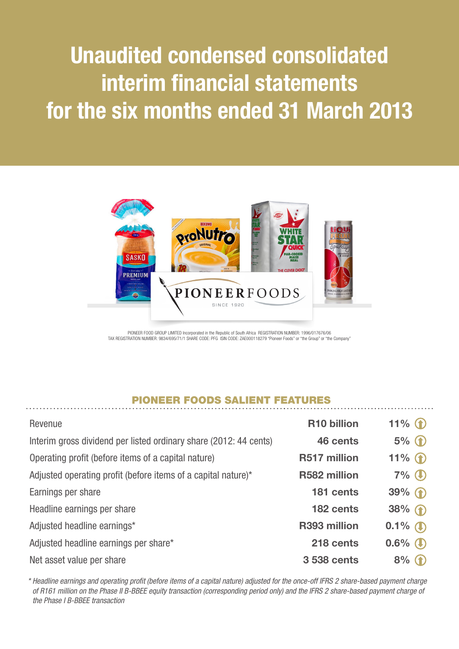# Unaudited condensed consolidated interim financial statements for the six months ended 31 March 2013



PIONEER FOOD GROUP LIMITED Incorporated in the Republic of South Africa REGISTRATION NUMBER: 1996/017676/06 TAX REGISTRATION NUMBER: 9834/695/71/1 SHARE CODE: PFG ISIN CODE: ZAE000118279 "Pioneer Foods" or "the Group" or "the Company"

## PIONEER FOODS SALIENT FEATURES

| Revenue                                                           | R <sub>10</sub> billion | 11% $\bullet$ |
|-------------------------------------------------------------------|-------------------------|---------------|
| Interim gross dividend per listed ordinary share (2012: 44 cents) | 46 cents                | $5%$ (1)      |
| Operating profit (before items of a capital nature)               | R517 million            | $11\%$<br>    |
| Adjusted operating profit (before items of a capital nature)*     | R582 million            | $7%$ $\circ$  |
| Earnings per share                                                | 181 cents               | $39\%$ (1)    |
| Headline earnings per share                                       | 182 cents               | $38%$ ①       |
| Adjusted headline earnings*                                       | R393 million            | $0.1\%$ (1)   |
| Adjusted headline earnings per share*                             | 218 cents               | $0.6\%$ (     |
| Net asset value per share                                         | 3 538 cents             | $8\%$ (1)     |

*\* Headline earnings and operating profit (before items of a capital nature) adjusted for the once-off IFRS 2 share-based payment charge of R161 million on the Phase II B-BBEE equity transaction (corresponding period only) and the IFRS 2 share-based payment charge of the Phase I B-BBEE transaction*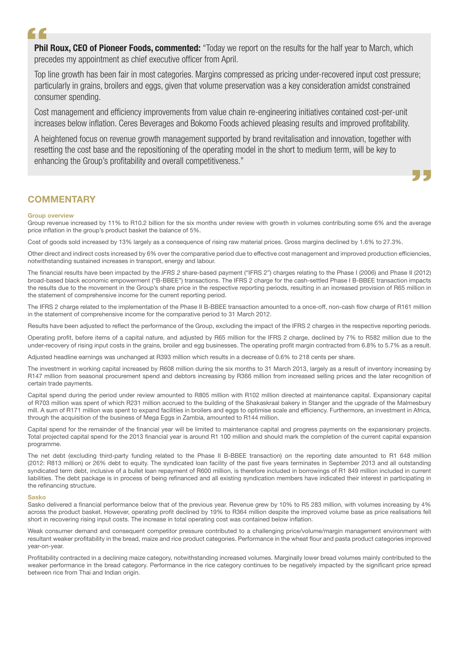# $\epsilon$

Phil Roux, CEO of Pioneer Foods, commented: "Today we report on the results for the half year to March, which precedes my appointment as chief executive officer from April.

Top line growth has been fair in most categories. Margins compressed as pricing under-recovered input cost pressure; particularly in grains, broilers and eggs, given that volume preservation was a key consideration amidst constrained consumer spending.

Cost management and efficiency improvements from value chain re-engineering initiatives contained cost-per-unit increases below inflation. Ceres Beverages and Bokomo Foods achieved pleasing results and improved profitability.

A heightened focus on revenue growth management supported by brand revitalisation and innovation, together with resetting the cost base and the repositioning of the operating model in the short to medium term, will be key to enhancing the Group's profitability and overall competitiveness."

## **COMMENTARY**

#### Group overview

Group revenue increased by 11% to R10.2 billion for the six months under review with growth in volumes contributing some 6% and the average price inflation in the group's product basket the balance of 5%.

ŊЦ,

Cost of goods sold increased by 13% largely as a consequence of rising raw material prices. Gross margins declined by 1.6% to 27.3%.

Other direct and indirect costs increased by 6% over the comparative period due to effective cost management and improved production efficiencies, notwithstanding sustained increases in transport, energy and labour.

The financial results have been impacted by the *IFRS 2* share-based payment ("IFRS 2") charges relating to the Phase I (2006) and Phase II (2012) broad-based black economic empowerment ("B-BBEE") transactions. The IFRS 2 charge for the cash-settled Phase I B-BBEE transaction impacts the results due to the movement in the Group's share price in the respective reporting periods, resulting in an increased provision of R65 million in the statement of comprehensive income for the current reporting period.

The IFRS 2 charge related to the implementation of the Phase II B-BBEE transaction amounted to a once-off, non-cash flow charge of R161 million in the statement of comprehensive income for the comparative period to 31 March 2012.

Results have been adjusted to reflect the performance of the Group, excluding the impact of the IFRS 2 charges in the respective reporting periods.

Operating profit, before items of a capital nature, and adjusted by R65 million for the IFRS 2 charge, declined by 7% to R582 million due to the under-recovery of rising input costs in the grains, broiler and egg businesses. The operating profit margin contracted from 6.8% to 5.7% as a result.

Adjusted headline earnings was unchanged at R393 million which results in a decrease of 0.6% to 218 cents per share.

The investment in working capital increased by R608 million during the six months to 31 March 2013, largely as a result of inventory increasing by R147 million from seasonal procurement spend and debtors increasing by R366 million from increased selling prices and the later recognition of certain trade payments.

Capital spend during the period under review amounted to R805 million with R102 million directed at maintenance capital. Expansionary capital of R703 million was spent of which R231 million accrued to the building of the Shakaskraal bakery in Stanger and the upgrade of the Malmesbury mill. A sum of R171 million was spent to expand facilities in broilers and eggs to optimise scale and efficiency. Furthermore, an investment in Africa, through the acquisition of the business of Mega Eggs in Zambia, amounted to R144 million.

Capital spend for the remainder of the financial year will be limited to maintenance capital and progress payments on the expansionary projects. Total projected capital spend for the 2013 financial year is around R1 100 million and should mark the completion of the current capital expansion programme.

The net debt (excluding third-party funding related to the Phase II B-BBEE transaction) on the reporting date amounted to R1 648 million (2012: R813 million) or 26% debt to equity. The syndicated loan facility of the past five years terminates in September 2013 and all outstanding syndicated term debt, inclusive of a bullet loan repayment of R600 million, is therefore included in borrowings of R1 849 million included in current liabilities. The debt package is in process of being refinanced and all existing syndication members have indicated their interest in participating in the refinancing structure.

#### Sasko

Sasko delivered a financial performance below that of the previous year. Revenue grew by 10% to R5 283 million, with volumes increasing by 4% across the product basket. However, operating profit declined by 19% to R364 million despite the improved volume base as price realisations fell short in recovering rising input costs. The increase in total operating cost was contained below inflation.

Weak consumer demand and consequent competitor pressure contributed to a challenging price/volume/margin management environment with resultant weaker profitability in the bread, maize and rice product categories. Performance in the wheat flour and pasta product categories improved year-on-year.

Profitability contracted in a declining maize category, notwithstanding increased volumes. Marginally lower bread volumes mainly contributed to the weaker performance in the bread category. Performance in the rice category continues to be negatively impacted by the significant price spread between rice from Thai and Indian origin.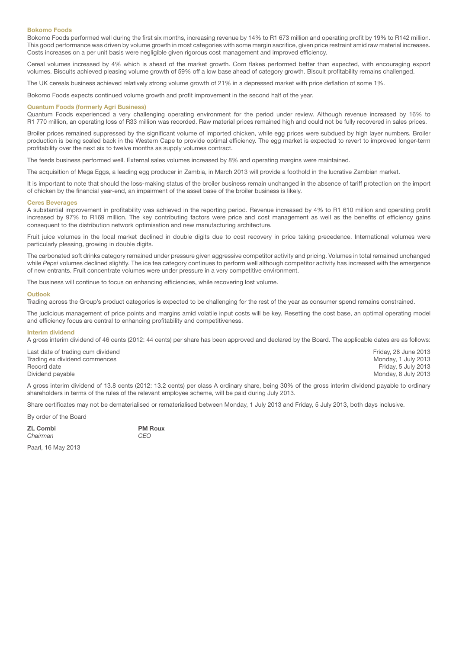#### Bokomo Foods

Bokomo Foods performed well during the first six months, increasing revenue by 14% to R1 673 million and operating profit by 19% to R142 million. This good performance was driven by volume growth in most categories with some margin sacrifice, given price restraint amid raw material increases. Costs increases on a per unit basis were negligible given rigorous cost management and improved efficiency.

Cereal volumes increased by 4% which is ahead of the market growth. Corn flakes performed better than expected, with encouraging export volumes. Biscuits achieved pleasing volume growth of 59% off a low base ahead of category growth. Biscuit profitability remains challenged.

The UK cereals business achieved relatively strong volume growth of 21% in a depressed market with price deflation of some 1%.

Bokomo Foods expects continued volume growth and profit improvement in the second half of the year.

#### Quantum Foods (formerly Agri Business)

Quantum Foods experienced a very challenging operating environment for the period under review. Although revenue increased by 16% to R1 770 million, an operating loss of R33 million was recorded. Raw material prices remained high and could not be fully recovered in sales prices.

Broiler prices remained suppressed by the significant volume of imported chicken, while egg prices were subdued by high layer numbers. Broiler production is being scaled back in the Western Cape to provide optimal efficiency. The egg market is expected to revert to improved longer-term profitability over the next six to twelve months as supply volumes contract.

The feeds business performed well. External sales volumes increased by 8% and operating margins were maintained.

The acquisition of Mega Eggs, a leading egg producer in Zambia, in March 2013 will provide a foothold in the lucrative Zambian market.

It is important to note that should the loss-making status of the broiler business remain unchanged in the absence of tariff protection on the import of chicken by the financial year-end, an impairment of the asset base of the broiler business is likely.

#### Ceres Beverages

A substantial improvement in profitability was achieved in the reporting period. Revenue increased by 4% to R1 610 million and operating profit increased by 97% to R169 million. The key contributing factors were price and cost management as well as the benefits of efficiency gains consequent to the distribution network optimisation and new manufacturing architecture.

Fruit juice volumes in the local market declined in double digits due to cost recovery in price taking precedence. International volumes were particularly pleasing, growing in double digits.

The carbonated soft drinks category remained under pressure given aggressive competitor activity and pricing. Volumes in total remained unchanged while Pepsi volumes declined slightly. The ice tea category continues to perform well although competitor activity has increased with the emergence of new entrants. Fruit concentrate volumes were under pressure in a very competitive environment.

The business will continue to focus on enhancing efficiencies, while recovering lost volume.

#### **Outlook**

Trading across the Group's product categories is expected to be challenging for the rest of the year as consumer spend remains constrained.

The judicious management of price points and margins amid volatile input costs will be key. Resetting the cost base, an optimal operating model and efficiency focus are central to enhancing profitability and competitiveness.

#### Interim dividend

A gross interim dividend of 46 cents (2012: 44 cents) per share has been approved and declared by the Board. The applicable dates are as follows:

| Last date of trading cum dividend | Friday, 28 June 2013 |
|-----------------------------------|----------------------|
| Trading ex dividend commences     | Monday, 1 July 2013  |
| Record date                       | Friday, 5 July 2013  |
| Dividend payable                  | Monday, 8 July 2013  |
|                                   |                      |

A gross interim dividend of 13.8 cents (2012: 13.2 cents) per class A ordinary share, being 30% of the gross interim dividend payable to ordinary shareholders in terms of the rules of the relevant employee scheme, will be paid during July 2013.

Share certificates may not be dematerialised or rematerialised between Monday, 1 July 2013 and Friday, 5 July 2013, both days inclusive.

By order of the Board

ZL Combi PM Roux *Chairman CEO*

Paarl, 16 May 2013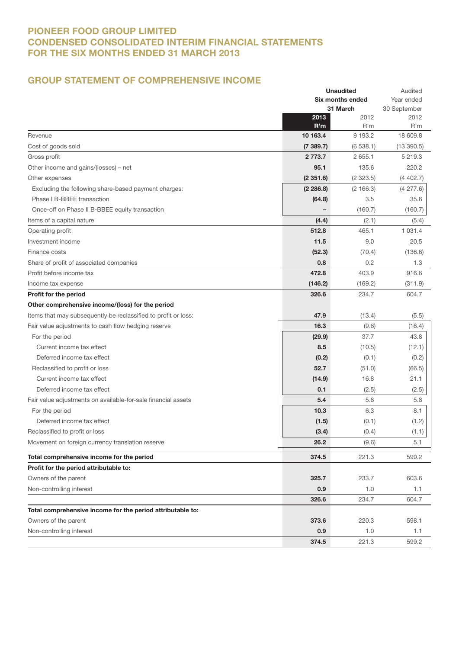## PIONEER FOOD GROUP LIMITED CONDENSED CONSOLIDATED INTERIM FINANCIAL STATEMENTS FOR THE SIX MONTHS ENDED 31 MARCH 2013

## GROUP STATEMENT OF COMPREHENSIVE INCOME

|                                                                |             | <b>Unaudited</b><br>Six months ended<br>31 March |             |
|----------------------------------------------------------------|-------------|--------------------------------------------------|-------------|
|                                                                |             |                                                  |             |
|                                                                |             |                                                  |             |
|                                                                | 2013        | 2012                                             | 2012        |
|                                                                | R'm         | R'm                                              | R'm         |
| Revenue                                                        | 10 163.4    | 9 1 9 3.2                                        | 18 609.8    |
| Cost of goods sold                                             | (7389.7)    | (6538.1)                                         | (13390.5)   |
| Gross profit                                                   | 2 7 7 3 . 7 | 2 655.1                                          | 5 219.3     |
| Other income and gains/(losses) – net                          | 95.1        | 135.6                                            | 220.2       |
| Other expenses                                                 | (2351.6)    | (2323.5)                                         | (4402.7)    |
| Excluding the following share-based payment charges:           | (2 286.8)   | (2166.3)                                         | (4277.6)    |
| Phase I B-BBEE transaction                                     | (64.8)      | 3.5                                              | 35.6        |
| Once-off on Phase II B-BBEE equity transaction                 |             | (160.7)                                          | (160.7)     |
| Items of a capital nature                                      | (4.4)       | (2.1)                                            | (5.4)       |
| Operating profit                                               | 512.8       | 465.1                                            | 1 0 3 1 . 4 |
| Investment income                                              | 11.5        | 9.0                                              | 20.5        |
| Finance costs                                                  | (52.3)      | (70.4)                                           | (136.6)     |
| Share of profit of associated companies                        | 0.8         | 0.2                                              | 1.3         |
| Profit before income tax                                       | 472.8       | 403.9                                            | 916.6       |
| Income tax expense                                             | (146.2)     | (169.2)                                          | (311.9)     |
| Profit for the period                                          | 326.6       | 234.7                                            | 604.7       |
| Other comprehensive income/(loss) for the period               |             |                                                  |             |
| Items that may subsequently be reclassified to profit or loss: | 47.9        | (13.4)                                           | (5.5)       |
| Fair value adjustments to cash flow hedging reserve            | 16.3        | (9.6)                                            | (16.4)      |
| For the period                                                 | (29.9)      | 37.7                                             | 43.8        |
| Current income tax effect                                      | 8.5         | (10.5)                                           | (12.1)      |
| Deferred income tax effect                                     | (0.2)       | (0.1)                                            | (0.2)       |
| Reclassified to profit or loss                                 | 52.7        | (51.0)                                           | (66.5)      |
| Current income tax effect                                      | (14.9)      | 16.8                                             | 21.1        |
| Deferred income tax effect                                     | 0.1         | (2.5)                                            | (2.5)       |
| Fair value adjustments on available-for-sale financial assets  | 5.4         | 5.8                                              | 5.8         |
| For the period                                                 | 10.3        | 6.3                                              | 8.1         |
| Deferred income tax effect                                     | (1.5)       | (0.1)                                            | (1.2)       |
|                                                                |             |                                                  |             |
| Reclassified to profit or loss                                 | (3.4)       | (0.4)                                            | (1.1)       |
| Movement on foreign currency translation reserve               | 26.2        | (9.6)                                            | 5.1         |
| Total comprehensive income for the period                      | 374.5       | 221.3                                            | 599.2       |
| Profit for the period attributable to:                         |             |                                                  |             |
| Owners of the parent                                           | 325.7       | 233.7                                            | 603.6       |
| Non-controlling interest                                       | 0.9         | 1.0                                              | 1.1         |
|                                                                | 326.6       | 234.7                                            | 604.7       |
| Total comprehensive income for the period attributable to:     |             |                                                  |             |
| Owners of the parent                                           | 373.6       | 220.3                                            | 598.1       |
| Non-controlling interest                                       | 0.9         | 1.0                                              | 1.1         |
|                                                                | 374.5       | 221.3                                            | 599.2       |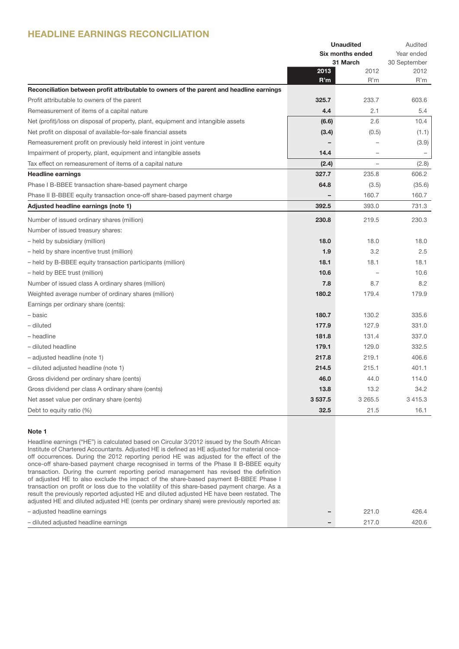## HEADLINE EARNINGS RECONCILIATION

|                                                                                          |                  | <b>Unaudited</b>  | Audited           |
|------------------------------------------------------------------------------------------|------------------|-------------------|-------------------|
|                                                                                          | Six months ended |                   | Year ended        |
|                                                                                          |                  | 31 March          | 30 September      |
|                                                                                          | 2013             | 2012              | 2012              |
|                                                                                          | R'm              | R'm               | R'm               |
| Reconciliation between profit attributable to owners of the parent and headline earnings |                  |                   |                   |
| Profit attributable to owners of the parent                                              | 325.7            | 233.7             | 603.6             |
| Remeasurement of items of a capital nature                                               | 4.4              | 2.1               | 5.4               |
| Net (profit)/loss on disposal of property, plant, equipment and intangible assets        | (6.6)            | 2.6               | 10.4              |
| Net profit on disposal of available-for-sale financial assets                            | (3.4)            | (0.5)             | (1.1)             |
| Remeasurement profit on previously held interest in joint venture                        |                  |                   | (3.9)             |
| Impairment of property, plant, equipment and intangible assets                           | 14.4             |                   | $\qquad \qquad -$ |
| Tax effect on remeasurement of items of a capital nature                                 | (2.4)            | $\qquad \qquad -$ | (2.8)             |
| <b>Headline earnings</b>                                                                 | 327.7            | 235.8             | 606.2             |
| Phase I B-BBEE transaction share-based payment charge                                    | 64.8             | (3.5)             | (35.6)            |
| Phase II B-BBEE equity transaction once-off share-based payment charge                   |                  | 160.7             | 160.7             |
| Adjusted headline earnings (note 1)                                                      | 392.5            | 393.0             | 731.3             |
| Number of issued ordinary shares (million)                                               | 230.8            | 219.5             | 230.3             |
| Number of issued treasury shares:                                                        |                  |                   |                   |
| - held by subsidiary (million)                                                           | 18.0             | 18.0              | 18.0              |
| - held by share incentive trust (million)                                                | 1.9              | 3.2               | 2.5               |
| - held by B-BBEE equity transaction participants (million)                               | 18.1             | 18.1              | 18.1              |
| - held by BEE trust (million)                                                            | 10.6             |                   | 10.6              |
| Number of issued class A ordinary shares (million)                                       | 7.8              | 8.7               | 8.2               |
| Weighted average number of ordinary shares (million)                                     | 180.2            | 179.4             | 179.9             |
| Earnings per ordinary share (cents):                                                     |                  |                   |                   |
| – basic                                                                                  | 180.7            | 130.2             | 335.6             |
| - diluted                                                                                | 177.9            | 127.9             | 331.0             |
| - headline                                                                               | 181.8            | 131.4             | 337.0             |
| - diluted headline                                                                       | 179.1            | 129.0             | 332.5             |
| - adjusted headline (note 1)                                                             | 217.8            | 219.1             | 406.6             |
| - diluted adjusted headline (note 1)                                                     | 214.5            | 215.1             | 401.1             |
| Gross dividend per ordinary share (cents)                                                | 46.0             | 44.0              | 114.0             |
| Gross dividend per class A ordinary share (cents)                                        | 13.8             | 13.2              | 34.2              |
| Net asset value per ordinary share (cents)                                               | 3537.5           | 3 2 6 5 .5        | 3 4 1 5 . 3       |
| Debt to equity ratio (%)                                                                 | 32.5             | 21.5              | 16.1              |

#### Note 1

Headline earnings ("HE") is calculated based on Circular 3/2012 issued by the South African Institute of Chartered Accountants. Adjusted HE is defined as HE adjusted for material onceoff occurrences. During the 2012 reporting period HE was adjusted for the effect of the once-off share-based payment charge recognised in terms of the Phase II B-BBEE equity transaction. During the current reporting period management has revised the definition of adjusted HE to also exclude the impact of the share-based payment B-BBEE Phase I transaction on profit or loss due to the volatility of this share-based payment charge. As a result the previously reported adjusted HE and diluted adjusted HE have been restated. The adjusted HE and diluted adjusted HE (cents per ordinary share) were previously reported as:

| transaction on profit or loss que to the volatility of this share-based payment charge. As a |                          |       |       |
|----------------------------------------------------------------------------------------------|--------------------------|-------|-------|
| result the previously reported adjusted HE and diluted adjusted HE have been restated. The   |                          |       |       |
| adjusted HE and diluted adjusted HE (cents per ordinary share) were previously reported as:  |                          |       |       |
| - adiusted headline earnings                                                                 | -                        | 221.0 | 426.4 |
| - diluted adiusted headline earnings                                                         | $\overline{\phantom{0}}$ | 217.0 | 420.6 |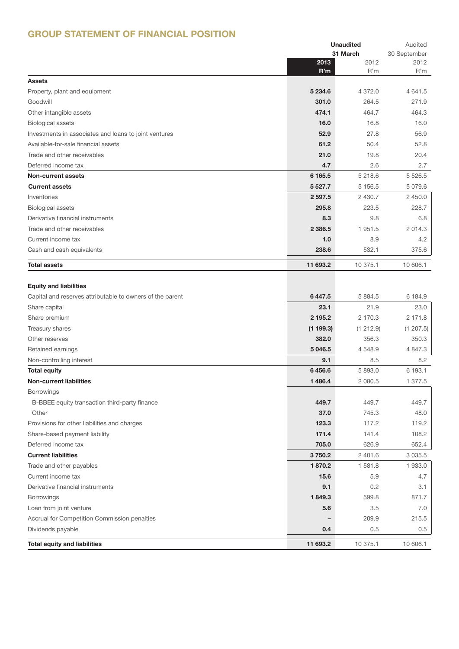## GROUP STATEMENT OF FINANCIAL POSITION

|                                                           | <b>Unaudited</b> |           | Audited      |
|-----------------------------------------------------------|------------------|-----------|--------------|
|                                                           |                  | 31 March  | 30 September |
|                                                           | 2013             | 2012      | 2012         |
|                                                           | R'm              | R'm       | R'm          |
| <b>Assets</b>                                             |                  |           |              |
| Property, plant and equipment                             | 5 2 3 4.6        | 4 372.0   | 4 641.5      |
| Goodwill                                                  | 301.0            | 264.5     | 271.9        |
| Other intangible assets                                   | 474.1            | 464.7     | 464.3        |
| <b>Biological assets</b>                                  | 16.0             | 16.8      | 16.0         |
| Investments in associates and loans to joint ventures     | 52.9             | 27.8      | 56.9         |
| Available-for-sale financial assets                       | 61.2             | 50.4      | 52.8         |
| Trade and other receivables                               | 21.0             | 19.8      | 20.4         |
| Deferred income tax                                       | 4.7              | 2.6       | 2.7          |
| <b>Non-current assets</b>                                 | 6 165.5          | 5 218.6   | 5 5 26.5     |
| <b>Current assets</b>                                     | 5 5 27.7         | 5 1 5 6.5 | 5 0 7 9.6    |
| Inventories                                               | 2 5 9 7.5        | 2 430.7   | 2450.0       |
| <b>Biological assets</b>                                  | 295.8            | 223.5     | 228.7        |
| Derivative financial instruments                          | 8.3              | 9.8       | 6.8          |
| Trade and other receivables                               | 2 3 8 6.5        | 1951.5    | 2 0 1 4 . 3  |
| Current income tax                                        | 1.0              | 8.9       | 4.2          |
| Cash and cash equivalents                                 | 238.6            | 532.1     | 375.6        |
|                                                           |                  |           |              |
| <b>Total assets</b>                                       | 11 693.2         | 10 375.1  | 10 606.1     |
|                                                           |                  |           |              |
| <b>Equity and liabilities</b>                             |                  |           |              |
| Capital and reserves attributable to owners of the parent | 6447.5           | 5 8 8 4.5 | 6 184.9      |
| Share capital                                             | 23.1             | 21.9      | 23.0         |
| Share premium                                             | 2 195.2          | 2 170.3   | 2 171.8      |
| Treasury shares                                           | (1199.3)         | (1 212.9) | (1 207.5)    |
| Other reserves                                            | 382.0            | 356.3     | 350.3        |
| Retained earnings                                         | 5 046.5          | 4 548.9   | 4 847.3      |
| Non-controlling interest                                  | 9.1              | 8.5       | 8.2          |
| <b>Total equity</b>                                       | 6456.6           | 5 893.0   | 6 193.1      |
| <b>Non-current liabilities</b>                            | 1486.4           | 2 080.5   | 1 377.5      |
| <b>Borrowings</b>                                         |                  |           |              |
| B-BBEE equity transaction third-party finance             | 449.7            | 449.7     | 449.7        |
| Other                                                     | 37.0             | 745.3     | 48.0         |
| Provisions for other liabilities and charges              | 123.3            | 117.2     | 119.2        |
| Share-based payment liability                             | 171.4            | 141.4     | 108.2        |
| Deferred income tax                                       | 705.0            | 626.9     | 652.4        |
| <b>Current liabilities</b>                                | 3750.2           | 2 401.6   | 3 0 3 5 .5   |
| Trade and other payables                                  | 1870.2           | 1581.8    | 1933.0       |
| Current income tax                                        | 15.6             | 5.9       | 4.7          |
| Derivative financial instruments                          | 9.1              | 0.2       | 3.1          |
| <b>Borrowings</b>                                         | 1849.3           | 599.8     | 871.7        |
| Loan from joint venture                                   | 5.6              | 3.5       | 7.0          |
| Accrual for Competition Commission penalties              |                  | 209.9     | 215.5        |
| Dividends payable                                         | 0.4              | 0.5       | 0.5          |
|                                                           |                  |           |              |
| <b>Total equity and liabilities</b>                       | 11 693.2         | 10 375.1  | 10 606.1     |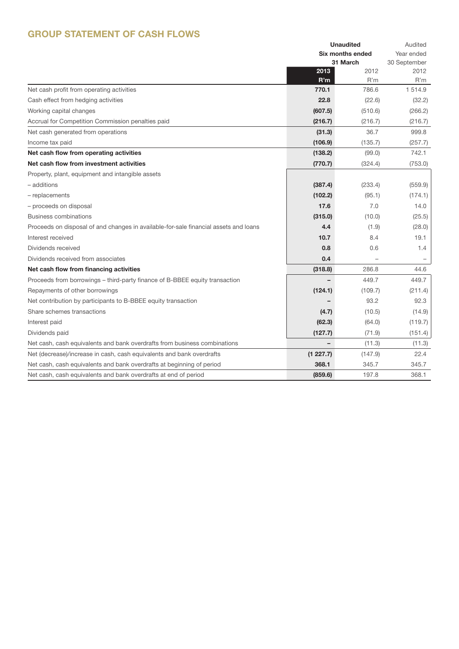## GROUP STATEMENT OF CASH FLOWS

|                                                                                      |                  | <b>Unaudited</b> | Audited      |
|--------------------------------------------------------------------------------------|------------------|------------------|--------------|
|                                                                                      | Six months ended |                  | Year ended   |
|                                                                                      |                  | 31 March         | 30 September |
|                                                                                      | 2013             | 2012             | 2012         |
|                                                                                      | R'm              | R'm              | R'm          |
| Net cash profit from operating activities                                            | 770.1            | 786.6            | 1 5 1 4 .9   |
| Cash effect from hedging activities                                                  | 22.8             | (22.6)           | (32.2)       |
| Working capital changes                                                              | (607.5)          | (510.6)          | (266.2)      |
| Accrual for Competition Commission penalties paid                                    | (216.7)          | (216.7)          | (216.7)      |
| Net cash generated from operations                                                   | (31.3)           | 36.7             | 999.8        |
| Income tax paid                                                                      | (106.9)          | (135.7)          | (257.7)      |
| Net cash flow from operating activities                                              | (138.2)          | (99.0)           | 742.1        |
| Net cash flow from investment activities                                             | (770.7)          | (324.4)          | (753.0)      |
| Property, plant, equipment and intangible assets                                     |                  |                  |              |
| – additions                                                                          | (387.4)          | (233.4)          | (559.9)      |
| - replacements                                                                       | (102.2)          | (95.1)           | (174.1)      |
| - proceeds on disposal                                                               | 17.6             | 7.0              | 14.0         |
| <b>Business combinations</b>                                                         | (315.0)          | (10.0)           | (25.5)       |
| Proceeds on disposal of and changes in available-for-sale financial assets and loans | 4.4              | (1.9)            | (28.0)       |
| Interest received                                                                    | 10.7             | 8.4              | 19.1         |
| Dividends received                                                                   | 0.8              | 0.6              | 1.4          |
| Dividends received from associates                                                   | 0.4              |                  |              |
| Net cash flow from financing activities                                              | (318.8)          | 286.8            | 44.6         |
| Proceeds from borrowings - third-party finance of B-BBEE equity transaction          |                  | 449.7            | 449.7        |
| Repayments of other borrowings                                                       | (124.1)          | (109.7)          | (211.4)      |
| Net contribution by participants to B-BBEE equity transaction                        |                  | 93.2             | 92.3         |
| Share schemes transactions                                                           | (4.7)            | (10.5)           | (14.9)       |
| Interest paid                                                                        | (62.3)           | (64.0)           | (119.7)      |
| Dividends paid                                                                       | (127.7)          | (71.9)           | (151.4)      |
| Net cash, cash equivalents and bank overdrafts from business combinations            |                  | (11.3)           | (11.3)       |
| Net (decrease)/increase in cash, cash equivalents and bank overdrafts                | (1 227.7)        | (147.9)          | 22.4         |
| Net cash, cash equivalents and bank overdrafts at beginning of period                | 368.1            | 345.7            | 345.7        |
| Net cash, cash equivalents and bank overdrafts at end of period                      | (859.6)          | 197.8            | 368.1        |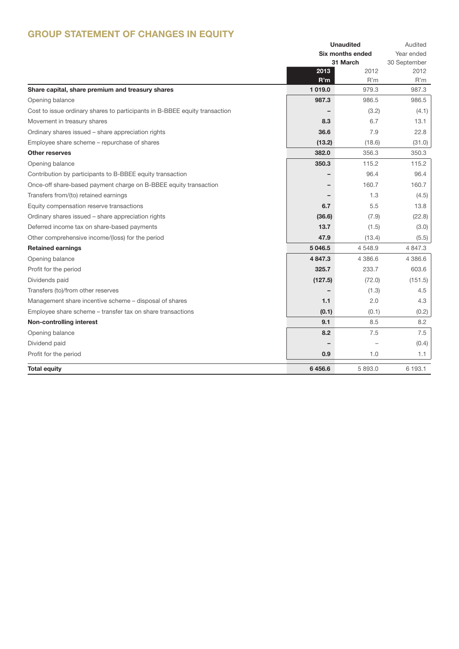## GROUP STATEMENT OF CHANGES IN EQUITY

|                                                                                   |               | <b>Unaudited</b>        | Audited      |
|-----------------------------------------------------------------------------------|---------------|-------------------------|--------------|
|                                                                                   |               | <b>Six months ended</b> | Year ended   |
|                                                                                   |               | 31 March                | 30 September |
|                                                                                   | 2013          | 2012<br>R'm             | 2012<br>R'm  |
| Share capital, share premium and treasury shares                                  | R'm<br>1019.0 | 979.3                   | 987.3        |
| Opening balance                                                                   | 987.3         | 986.5                   | 986.5        |
| Cost to issue ordinary shares to participants in B-BBEE equity transaction        |               | (3.2)                   | (4.1)        |
|                                                                                   | 8.3           | 6.7                     | 13.1         |
| Movement in treasury shares<br>Ordinary shares issued - share appreciation rights | 36.6          | 7.9                     | 22.8         |
|                                                                                   | (13.2)        | (18.6)                  |              |
| Employee share scheme - repurchase of shares                                      | 382.0         | 356.3                   | (31.0)       |
| <b>Other reserves</b>                                                             |               |                         | 350.3        |
| Opening balance                                                                   | 350.3         | 115.2                   | 115.2        |
| Contribution by participants to B-BBEE equity transaction                         |               | 96.4                    | 96.4         |
| Once-off share-based payment charge on B-BBEE equity transaction                  |               | 160.7                   | 160.7        |
| Transfers from/(to) retained earnings                                             |               | 1.3                     | (4.5)        |
| Equity compensation reserve transactions                                          | 6.7           | 5.5                     | 13.8         |
| Ordinary shares issued - share appreciation rights                                | (36.6)        | (7.9)                   | (22.8)       |
| Deferred income tax on share-based payments                                       | 13.7          | (1.5)                   | (3.0)        |
| Other comprehensive income/(loss) for the period                                  | 47.9          | (13.4)                  | (5.5)        |
| <b>Retained earnings</b>                                                          | 5 046.5       | 4548.9                  | 4 847.3      |
| Opening balance                                                                   | 4 8 4 7 . 3   | 4 386.6                 | 4 386.6      |
| Profit for the period                                                             | 325.7         | 233.7                   | 603.6        |
| Dividends paid                                                                    | (127.5)       | (72.0)                  | (151.5)      |
| Transfers (to)/from other reserves                                                |               | (1.3)                   | 4.5          |
| Management share incentive scheme - disposal of shares                            | 1.1           | 2.0                     | 4.3          |
| Employee share scheme – transfer tax on share transactions                        | (0.1)         | (0.1)                   | (0.2)        |
| Non-controlling interest                                                          | 9.1           | 8.5                     | 8.2          |
| Opening balance                                                                   | 8.2           | 7.5                     | 7.5          |
| Dividend paid                                                                     |               |                         | (0.4)        |
| Profit for the period                                                             | 0.9           | 1.0                     | 1.1          |
| <b>Total equity</b>                                                               | 6456.6        | 5 893.0                 | 6 193.1      |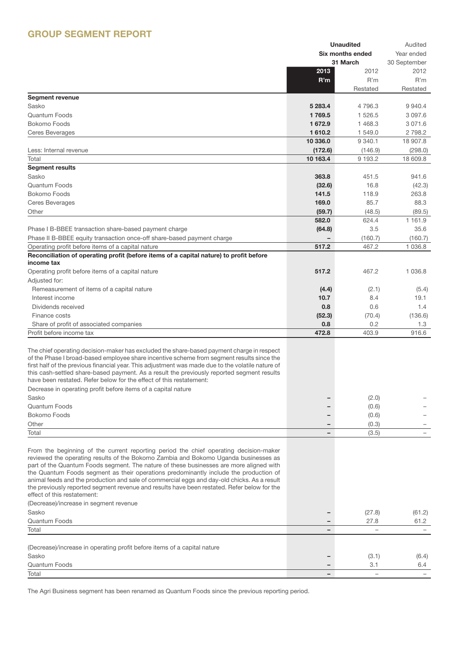## GROUP SEGMENT REPORT

|                                                                                                                                                                                                 |          | <b>Unaudited</b> | Audited                    |
|-------------------------------------------------------------------------------------------------------------------------------------------------------------------------------------------------|----------|------------------|----------------------------|
|                                                                                                                                                                                                 |          | Six months ended |                            |
|                                                                                                                                                                                                 |          | 31 March         | Year ended<br>30 September |
|                                                                                                                                                                                                 | 2013     | 2012             | 2012                       |
|                                                                                                                                                                                                 | R'm      | R'm              | R'm                        |
|                                                                                                                                                                                                 |          | Restated         | Restated                   |
| <b>Segment revenue</b>                                                                                                                                                                          |          |                  |                            |
|                                                                                                                                                                                                 |          |                  |                            |
| Sasko                                                                                                                                                                                           | 5 283.4  | 4796.3           | 9 9 4 0.4                  |
| <b>Quantum Foods</b>                                                                                                                                                                            | 1769.5   | 1 526.5          | 3 097.6                    |
| Bokomo Foods                                                                                                                                                                                    | 1672.9   | 1468.3           | 3 0 7 1 .6                 |
| <b>Ceres Beverages</b>                                                                                                                                                                          | 1 610.2  | 1 549.0          | 2 7 9 8.2                  |
|                                                                                                                                                                                                 | 10 336.0 | 9 3 4 0.1        | 18 907.8                   |
| Less: Internal revenue                                                                                                                                                                          | (172.6)  | (146.9)          | (298.0)                    |
| Total                                                                                                                                                                                           | 10 163.4 | 9 193.2          | 18 609.8                   |
| <b>Segment results</b>                                                                                                                                                                          |          |                  |                            |
| Sasko                                                                                                                                                                                           | 363.8    | 451.5            | 941.6                      |
| <b>Quantum Foods</b>                                                                                                                                                                            | (32.6)   | 16.8             | (42.3)                     |
| Bokomo Foods                                                                                                                                                                                    | 141.5    | 118.9            | 263.8                      |
| Ceres Beverages                                                                                                                                                                                 | 169.0    | 85.7             | 88.3                       |
| Other                                                                                                                                                                                           | (59.7)   | (48.5)           | (89.5)                     |
|                                                                                                                                                                                                 | 582.0    | 624.4            | 1 1 6 1 .9                 |
| Phase I B-BBEE transaction share-based payment charge                                                                                                                                           | (64.8)   | 3.5              | 35.6                       |
| Phase II B-BBEE equity transaction once-off share-based payment charge                                                                                                                          |          | (160.7)          | (160.7)                    |
| Operating profit before items of a capital nature                                                                                                                                               | 517.2    | 467.2            | 1 0 3 6.8                  |
| Reconciliation of operating profit (before items of a capital nature) to profit before                                                                                                          |          |                  |                            |
| income tax                                                                                                                                                                                      |          |                  |                            |
| Operating profit before items of a capital nature                                                                                                                                               | 517.2    | 467.2            | 1 0 3 6.8                  |
| Adjusted for:                                                                                                                                                                                   |          |                  |                            |
| Remeasurement of items of a capital nature                                                                                                                                                      | (4.4)    | (2.1)            | (5.4)                      |
| Interest income                                                                                                                                                                                 | 10.7     | 8.4              | 19.1                       |
|                                                                                                                                                                                                 |          |                  |                            |
| Dividends received                                                                                                                                                                              | 0.8      | 0.6              | 1.4                        |
| Finance costs                                                                                                                                                                                   | (52.3)   | (70.4)           | (136.6)                    |
| Share of profit of associated companies                                                                                                                                                         | 0.8      | 0.2              | 1.3                        |
| Profit before income tax                                                                                                                                                                        | 472.8    | 403.9            | 916.6                      |
|                                                                                                                                                                                                 |          |                  |                            |
| The chief operating decision-maker has excluded the share-based payment charge in respect                                                                                                       |          |                  |                            |
| of the Phase I broad-based employee share incentive scheme from segment results since the                                                                                                       |          |                  |                            |
| first half of the previous financial year. This adjustment was made due to the volatile nature of<br>this cash-settled share-based payment. As a result the previously reported segment results |          |                  |                            |
| have been restated. Refer below for the effect of this restatement:                                                                                                                             |          |                  |                            |
| Decrease in operating profit before items of a capital nature                                                                                                                                   |          |                  |                            |
| Sasko                                                                                                                                                                                           |          | (2.0)            |                            |
| Quantum Foods                                                                                                                                                                                   |          |                  |                            |
|                                                                                                                                                                                                 |          | (0.6)            |                            |
| Bokomo Foods                                                                                                                                                                                    |          | (0.6)            |                            |
| Other                                                                                                                                                                                           |          | (0.3)            |                            |
| Total                                                                                                                                                                                           |          | (3.5)            |                            |
|                                                                                                                                                                                                 |          |                  |                            |
| From the beginning of the current reporting period the chief operating decision-maker                                                                                                           |          |                  |                            |
| reviewed the operating results of the Bokomo Zambia and Bokomo Uganda businesses as                                                                                                             |          |                  |                            |
| part of the Quantum Foods segment. The nature of these businesses are more aligned with<br>the Quantum Foods segment as their operations predominantly include the production of                |          |                  |                            |
| animal feeds and the production and sale of commercial eggs and day-old chicks. As a result                                                                                                     |          |                  |                            |
| the previously reported segment revenue and results have been restated. Refer below for the                                                                                                     |          |                  |                            |
| effect of this restatement:                                                                                                                                                                     |          |                  |                            |
| (Decrease)/increase in segment revenue                                                                                                                                                          |          |                  |                            |
| Sasko                                                                                                                                                                                           |          | (27.8)           | (61.2)                     |
| <b>Quantum Foods</b>                                                                                                                                                                            |          | 27.8             | 61.2                       |
| Total                                                                                                                                                                                           |          |                  |                            |
|                                                                                                                                                                                                 |          |                  |                            |
| (Decrease)/increase in operating profit before items of a capital nature                                                                                                                        |          |                  |                            |
| Sasko                                                                                                                                                                                           |          | (3.1)            | (6.4)                      |
| <b>Quantum Foods</b>                                                                                                                                                                            |          | 3.1              | 6.4                        |
| Total                                                                                                                                                                                           |          |                  |                            |
|                                                                                                                                                                                                 |          |                  |                            |

The Agri Business segment has been renamed as Quantum Foods since the previous reporting period.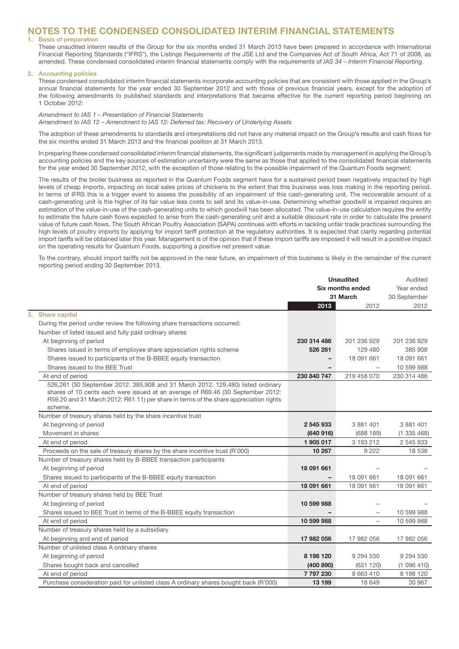### NOTES TO THE CONDENSED CONSOLIDATED INTERIM FINANCIAL STATEMENTS

#### 1. Basis of preparation

 These unaudited interim results of the Group for the six months ended 31 March 2013 have been prepared in accordance with International Financial Reporting Standards ("IFRS"), the Listings Requirements of the JSE Ltd and the Companies Act of South Africa, Act 71 of 2008, as amended. These condensed consolidated interim financial statements comply with the requirements of *IAS 34 – Interim Financial Reporting*.

#### **Accounting policies**

 These condensed consolidated interim financial statements incorporate accounting policies that are consistent with those applied in the Group's annual financial statements for the year ended 30 September 2012 and with those of previous financial years, except for the adoption of the following amendments to published standards and interpretations that became effective for the current reporting period beginning on 1 October 2012:

#### *Amendment to IAS 1 – Presentation of Financial Statements Amendment to IAS 12 – Amendment to IAS 12: Deferred tax: Recovery of Underlying Assets*

 The adoption of these amendments to standards and interpretations did not have any material impact on the Group's results and cash flows for the six months ended 31 March 2013 and the financial position at 31 March 2013.

 In preparing these condensed consolidated interim financial statements, the significant judgements made by management in applying the Group's accounting policies and the key sources of estimation uncertainty were the same as those that applied to the consolidated financial statements for the year ended 30 September 2012, with the exception of those relating to the possible impairment of the Quantum Foods segment:

 The results of the broiler business as reported in the Quantum Foods segment have for a sustained period been negatively impacted by high levels of cheap imports, impacting on local sales prices of chickens to the extent that this business was loss making in the reporting period. In terms of IFRS this is a trigger event to assess the possibility of an impairment of this cash-generating unit. The recoverable amount of a cash-generating unit is the higher of its fair value less costs to sell and its value-in-use. Determining whether goodwill is impaired requires an estimation of the value-in-use of the cash-generating units to which goodwill has been allocated. The value-in-use calculation requires the entity to estimate the future cash flows expected to arise from the cash-generating unit and a suitable discount rate in order to calculate the present value of future cash flows. The South African Poultry Association (SAPA) continues with efforts in tackling unfair trade practices surrounding the high levels of poultry imports by applying for import tariff protection at the regulatory authorities. It is expected that clarity regarding potential import tariffs will be obtained later this year. Management is of the opinion that if these import tariffs are imposed it will result in a positive impact on the operating results for Quantum Foods, supporting a positive net present value.

 To the contrary, should import tariffs not be approved in the near future, an impairment of this business is likely in the remainder of the current reporting period ending 30 September 2013.

|                                                                                                                                                                                                                                                                        |             | <b>Unaudited</b>         | Audited      |
|------------------------------------------------------------------------------------------------------------------------------------------------------------------------------------------------------------------------------------------------------------------------|-------------|--------------------------|--------------|
|                                                                                                                                                                                                                                                                        |             | Six months ended         | Year ended   |
|                                                                                                                                                                                                                                                                        |             | 31 March                 | 30 September |
|                                                                                                                                                                                                                                                                        | 2013        | 2012                     | 2012         |
| <b>Share capital</b>                                                                                                                                                                                                                                                   |             |                          |              |
| During the period under review the following share transactions occurred:                                                                                                                                                                                              |             |                          |              |
| Number of listed issued and fully paid ordinary shares                                                                                                                                                                                                                 |             |                          |              |
| At beginning of period                                                                                                                                                                                                                                                 | 230 314 486 | 201 236 929              | 201 236 929  |
| Shares issued in terms of employee share appreciation rights scheme                                                                                                                                                                                                    | 526 261     | 129 480                  | 385 908      |
| Shares issued to participants of the B-BBEE equity transaction                                                                                                                                                                                                         |             | 18 091 661               | 18 091 661   |
| Shares issued to the BEE Trust                                                                                                                                                                                                                                         |             |                          | 10 599 988   |
| At end of period                                                                                                                                                                                                                                                       | 230 840 747 | 219 458 070              | 230 314 486  |
| 526,261 (30 September 2012: 385,908 and 31 March 2012: 129,480) listed ordinary<br>shares of 10 cents each were issued at an average of R69.46 (30 September 2012:<br>R59.20 and 31 March 2012: R61.11) per share in terms of the share appreciation rights<br>scheme. |             |                          |              |
| Number of treasury shares held by the share incentive trust                                                                                                                                                                                                            |             |                          |              |
| At beginning of period                                                                                                                                                                                                                                                 | 2 545 933   | 3 881 401                | 3 881 401    |
| Movement in shares                                                                                                                                                                                                                                                     | (640916)    | (688189)                 | (1335468)    |
| At end of period                                                                                                                                                                                                                                                       | 1 905 017   | 3 193 212                | 2 545 933    |
| Proceeds on the sale of treasury shares by the share incentive trust (R'000)                                                                                                                                                                                           | 10 267      | 9 2 2 2                  | 18 536       |
| Number of treasury shares held by B-BBEE transaction participants                                                                                                                                                                                                      |             |                          |              |
| At beginning of period                                                                                                                                                                                                                                                 | 18 091 661  |                          |              |
| Shares issued to participants of the B-BBEE equity transaction                                                                                                                                                                                                         |             | 18 091 661               | 18 091 661   |
| At end of period                                                                                                                                                                                                                                                       | 18 091 661  | 18 091 661               | 18 091 661   |
| Number of treasury shares held by BEE Trust                                                                                                                                                                                                                            |             |                          |              |
| At beginning of period                                                                                                                                                                                                                                                 | 10 599 988  |                          |              |
| Shares issued to BEE Trust in terms of the B-BBEE equity transaction                                                                                                                                                                                                   |             |                          | 10 599 988   |
| At end of period                                                                                                                                                                                                                                                       | 10 599 988  | $\overline{\phantom{m}}$ | 10 599 988   |
| Number of treasury shares held by a subsidiary                                                                                                                                                                                                                         |             |                          |              |
| At beginning and end of period                                                                                                                                                                                                                                         | 17 982 056  | 17 982 056               | 17 982 056   |
| Number of unlisted class A ordinary shares                                                                                                                                                                                                                             |             |                          |              |
| At beginning of period                                                                                                                                                                                                                                                 | 8 198 120   | 9 294 530                | 9 294 530    |
| Shares bought back and cancelled                                                                                                                                                                                                                                       | (400 890)   | (631 120)                | (1096410)    |
| At end of period                                                                                                                                                                                                                                                       | 7 797 230   | 8 663 410                | 8 198 120    |
| Purchase consideration paid for unlisted class A ordinary shares bought back (R'000)                                                                                                                                                                                   | 13 199      | 18 649                   | 30 967       |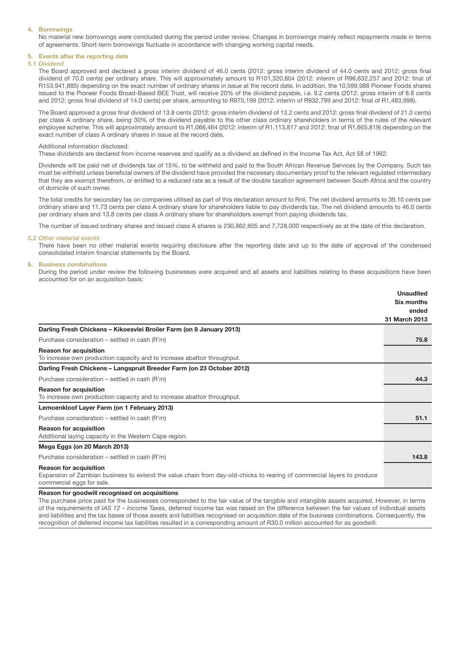#### 4. Borrowings

 No material new borrowings were concluded during the period under review. Changes in borrowings mainly reflect repayments made in terms of agreements. Short-term borrowings fluctuate in accordance with changing working capital needs.

#### 5. Events after the reporting date

#### *5.1 Dividend*

 The Board approved and declared a gross interim dividend of 46.0 cents (2012: gross interim dividend of 44.0 cents and 2012: gross final dividend of 70.0 cents) per ordinary share. This will approximately amount to R101,320,804 (2012: interim of R96,632,257 and 2012: final of R153,941,885) depending on the exact number of ordinary shares in issue at the record date. In addition, the 10,599,988 Pioneer Foods shares issued to the Pioneer Foods Broad-Based BEE Trust, will receive 20% of the dividend payable, i.e. 9.2 cents (2012: gross interim of 8.8 cents and 2012: gross final dividend of 14.0 cents) per share, amounting to R975,199 (2012: interim of R932,799 and 2012: final of R1,483,998).

 The Board approved a gross final dividend of 13.8 cents (2012: gross interim dividend of 13.2 cents and 2012: gross final dividend of 21.0 cents) per class A ordinary share, being 30% of the dividend payable to the other class ordinary shareholders in terms of the rules of the relevant employee scheme. This will approximately amount to R1,066,464 (2012: interim of R1,113,817 and 2012: final of R1,665,819) depending on the exact number of class A ordinary shares in issue at the record date.

#### Additional information disclosed:

These dividends are declared from income reserves and qualify as a dividend as defined in the Income Tax Act, Act 58 of 1962.

 Dividends will be paid net of dividends tax of 15%, to be withheld and paid to the South African Revenue Services by the Company. Such tax must be withheld unless beneficial owners of the dividend have provided the necessary documentary proof to the relevant regulated intermediary that they are exempt therefrom, or entitled to a reduced rate as a result of the double taxation agreement between South Africa and the country of domicile of such owner.

 The total credits for secondary tax on companies utilised as part of this declaration amount to Rnil. The net dividend amounts to 39.10 cents per ordinary share and 11.73 cents per class A ordinary share for shareholders liable to pay dividends tax. The net dividend amounts to 46.0 cents per ordinary share and 13.8 cents per class A ordinary share for shareholders exempt from paying dividends tax.

The number of issued ordinary shares and issued class A shares is 230,862,605 and 7,728,000 respectively as at the date of this declaration.

#### *5.2 Other material events*

 There have been no other material events requiring disclosure after the reporting date and up to the date of approval of the condensed consolidated interim financial statements by the Board.

#### 6. Business combinations

 During the period under review the following businesses were acquired and all assets and liabilities relating to these acquisitions have been accounted for on an acquisition basis:

|                                                                                                                                                     | <b>Unaudited</b> |
|-----------------------------------------------------------------------------------------------------------------------------------------------------|------------------|
|                                                                                                                                                     | Six months       |
|                                                                                                                                                     | ended            |
|                                                                                                                                                     | 31 March 2013    |
| Darling Fresh Chickens - Kikoesvlei Broiler Farm (on 8 January 2013)                                                                                |                  |
| Purchase consideration – settled in cash (R'm)                                                                                                      | 75.8             |
| <b>Reason for acquisition</b>                                                                                                                       |                  |
| To increase own production capacity and to increase abattoir throughput.                                                                            |                  |
| Darling Fresh Chickens - Langspruit Breeder Farm (on 23 October 2012)                                                                               |                  |
| Purchase consideration – settled in cash (R'm)                                                                                                      | 44.3             |
| <b>Reason for acquisition</b>                                                                                                                       |                  |
| To increase own production capacity and to increase abattoir throughput.                                                                            |                  |
| Lemoenkloof Layer Farm (on 1 February 2013)                                                                                                         |                  |
| Purchase consideration – settled in cash (R'm)                                                                                                      | 51.1             |
| <b>Reason for acquisition</b>                                                                                                                       |                  |
| Additional laying capacity in the Western Cape region.                                                                                              |                  |
| Mega Eggs (on 20 March 2013)                                                                                                                        |                  |
| Purchase consideration – settled in cash (R'm)                                                                                                      | 143.8            |
| <b>Reason for acquisition</b>                                                                                                                       |                  |
| Expansion of Zambian business to extend the value chain from day-old-chicks to rearing of commercial layers to produce<br>commercial eggs for sale. |                  |
| Da a a sua da cine a sheekh wa a a shekara ta san a shekara ta ta ta                                                                                |                  |

#### Reason for goodwill recognised on acquisitions

The purchase price paid for the businesses corresponded to the fair value of the tangible and intangible assets acquired. However, in terms of the requirements of *IAS 12 – Income Taxes*, deferred income tax was raised on the difference between the fair values of individual assets and liabilities and the tax bases of those assets and liabilities recognised on acquisition date of the business combinations. Consequently, the recognition of deferred income tax liabilities resulted in a corresponding amount of R30.0 million accounted for as goodwill.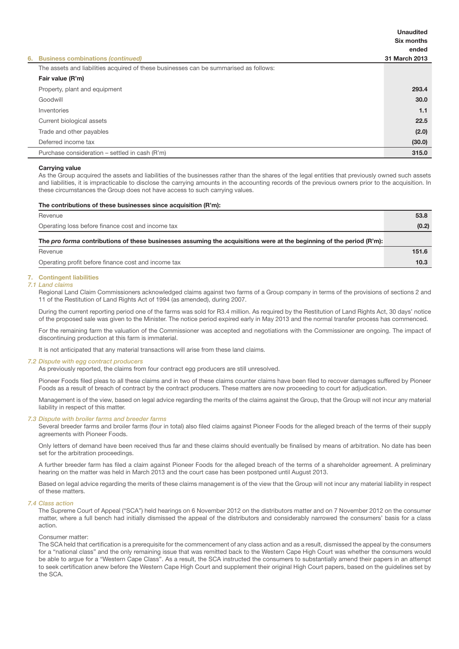|                                                                                       | <b>Unaudited</b><br>Six months |
|---------------------------------------------------------------------------------------|--------------------------------|
|                                                                                       | ended                          |
| 6. Business combinations (continued)                                                  | 31 March 2013                  |
| The assets and liabilities acquired of these businesses can be summarised as follows: |                                |
| Fair value (R'm)                                                                      |                                |
| Property, plant and equipment                                                         | 293.4                          |
| Goodwill                                                                              | 30.0                           |
| Inventories                                                                           | 1.1                            |
| Current biological assets                                                             | 22.5                           |
| Trade and other payables                                                              | (2.0)                          |
| Deferred income tax                                                                   | (30.0)                         |
| Purchase consideration – settled in cash (R'm)                                        | 315.0                          |

#### Carrying value

 As the Group acquired the assets and liabilities of the businesses rather than the shares of the legal entities that previously owned such assets and liabilities, it is impracticable to disclose the carrying amounts in the accounting records of the previous owners prior to the acquisition. In these circumstances the Group does not have access to such carrying values.

#### The contributions of these businesses since acquisition (R'm):

| Revenue                                                                                                              | 53.8  |
|----------------------------------------------------------------------------------------------------------------------|-------|
| Operating loss before finance cost and income tax                                                                    | (0.2) |
| The pro forma contributions of these businesses assuming the acquisitions were at the beginning of the period (R'm): |       |
| Revenue                                                                                                              | 151.6 |
| Operating profit before finance cost and income tax                                                                  | 10.3  |

#### 7. Contingent liabilities

#### *7.1 Land claims*

 Regional Land Claim Commissioners acknowledged claims against two farms of a Group company in terms of the provisions of sections 2 and 11 of the Restitution of Land Rights Act of 1994 (as amended), during 2007.

 During the current reporting period one of the farms was sold for R3.4 million. As required by the Restitution of Land Rights Act, 30 days' notice of the proposed sale was given to the Minister. The notice period expired early in May 2013 and the normal transfer process has commenced.

 For the remaining farm the valuation of the Commissioner was accepted and negotiations with the Commissioner are ongoing. The impact of discontinuing production at this farm is immaterial.

It is not anticipated that any material transactions will arise from these land claims.

#### *7.2 Dispute with egg contract producers*

As previously reported, the claims from four contract egg producers are still unresolved.

 Pioneer Foods filed pleas to all these claims and in two of these claims counter claims have been filed to recover damages suffered by Pioneer Foods as a result of breach of contract by the contract producers. These matters are now proceeding to court for adjudication.

 Management is of the view, based on legal advice regarding the merits of the claims against the Group, that the Group will not incur any material liability in respect of this matter.

#### *7.3 Dispute with broiler farms and breeder farms*

 Several breeder farms and broiler farms (four in total) also filed claims against Pioneer Foods for the alleged breach of the terms of their supply agreements with Pioneer Foods.

 Only letters of demand have been received thus far and these claims should eventually be finalised by means of arbitration. No date has been set for the arbitration proceedings.

 A further breeder farm has filed a claim against Pioneer Foods for the alleged breach of the terms of a shareholder agreement. A preliminary hearing on the matter was held in March 2013 and the court case has been postponed until August 2013.

 Based on legal advice regarding the merits of these claims management is of the view that the Group will not incur any material liability in respect of these matters.

#### *7.4 Class action*

 The Supreme Court of Appeal ("SCA") held hearings on 6 November 2012 on the distributors matter and on 7 November 2012 on the consumer matter, where a full bench had initially dismissed the appeal of the distributors and considerably narrowed the consumers' basis for a class action.

#### Consumer matter:

 The SCA held that certification is a prerequisite for the commencement of any class action and as a result, dismissed the appeal by the consumers for a "national class" and the only remaining issue that was remitted back to the Western Cape High Court was whether the consumers would be able to argue for a "Western Cape Class". As a result, the SCA instructed the consumers to substantially amend their papers in an attempt to seek certification anew before the Western Cape High Court and supplement their original High Court papers, based on the guidelines set by the SCA.